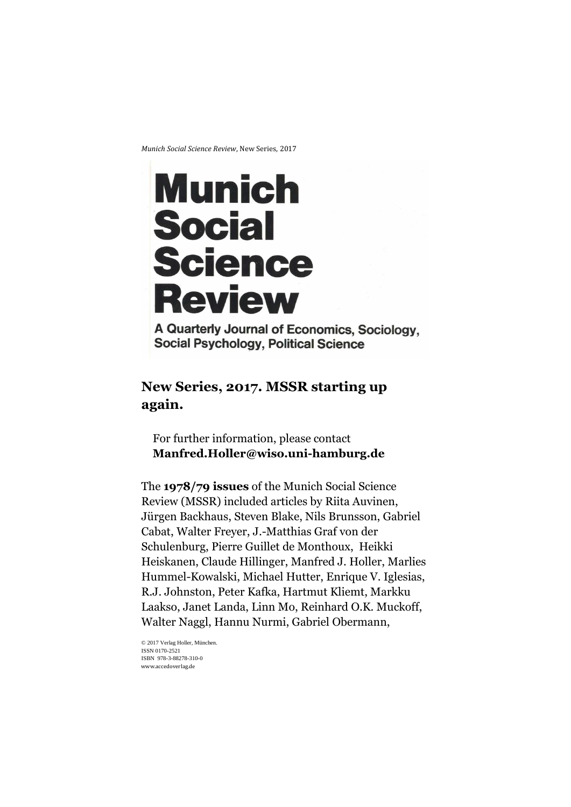*Munich Social Science Review*, New Series, 2017

# Munich **Social Science Review**

A Quarterly Journal of Economics, Sociology, **Social Psychology, Political Science** 

# **New Series, 2017. MSSR starting up again.**

For further information, please contact **Manfred.Holler@wiso.uni-hamburg.de**

The **1978/79 issues** of the Munich Social Science Review (MSSR) included articles by Riita Auvinen, Jürgen Backhaus, Steven Blake, Nils Brunsson, Gabriel Cabat, Walter Freyer, J.-Matthias Graf von der Schulenburg, Pierre Guillet de Monthoux, Heikki Heiskanen, Claude Hillinger, Manfred J. Holler, Marlies Hummel-Kowalski, Michael Hutter, Enrique V. Iglesias, R.J. Johnston, Peter Kafka, Hartmut Kliemt, Markku Laakso, Janet Landa, Linn Mo, Reinhard O.K. Muckoff, Walter Naggl, Hannu Nurmi, Gabriel Obermann,

© 2017 Verlag Holler, München. ISSN 0170-2521 ISBN 978-3-88278-310-0 www.accedoverlag.de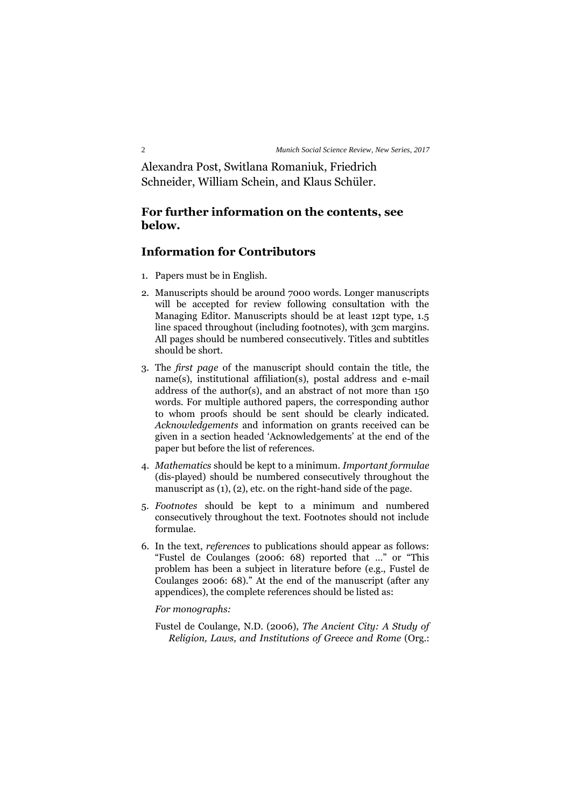Alexandra Post, Switlana Romaniuk, Friedrich Schneider, William Schein, and Klaus Schüler.

### **For further information on the contents, see below.**

# **Information for Contributors**

- 1. Papers must be in English.
- 2. Manuscripts should be around 7000 words. Longer manuscripts will be accepted for review following consultation with the Managing Editor. Manuscripts should be at least 12pt type, 1.5 line spaced throughout (including footnotes), with 3cm margins. All pages should be numbered consecutively. Titles and subtitles should be short.
- 3. The *first page* of the manuscript should contain the title, the name(s), institutional affiliation(s), postal address and e-mail address of the author(s), and an abstract of not more than 150 words. For multiple authored papers, the corresponding author to whom proofs should be sent should be clearly indicated. *Acknowledgements* and information on grants received can be given in a section headed 'Acknowledgements' at the end of the paper but before the list of references.
- 4. *Mathematics* should be kept to a minimum. *Important formulae* (dis-played) should be numbered consecutively throughout the manuscript as (1), (2), etc. on the right-hand side of the page.
- 5. *Footnotes* should be kept to a minimum and numbered consecutively throughout the text. Footnotes should not include formulae.
- 6. In the text, *references* to publications should appear as follows: "Fustel de Coulanges (2006: 68) reported that …" or "This problem has been a subject in literature before (e.g., Fustel de Coulanges 2006: 68)." At the end of the manuscript (after any appendices), the complete references should be listed as:

#### *For monographs:*

Fustel de Coulange, N.D. (2006), *The Ancient City: A Study of Religion, Laws, and Institutions of Greece and Rome* (Org.: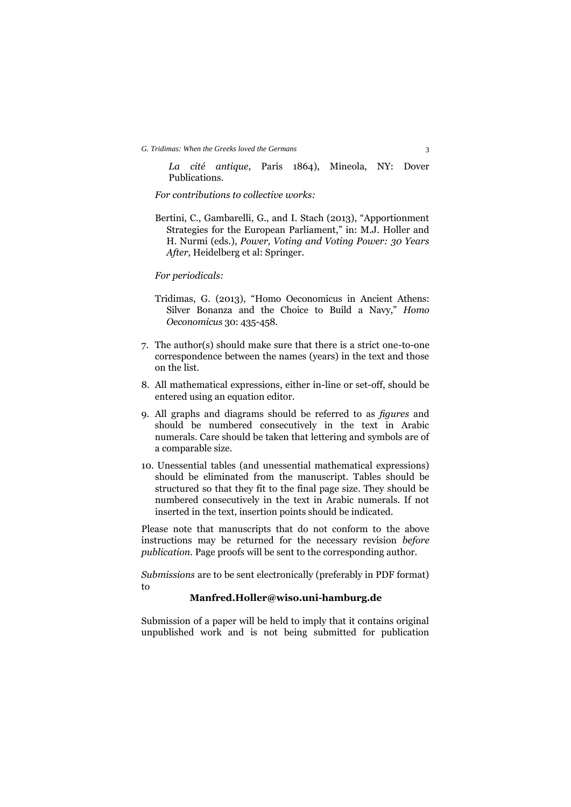*La cité antique*, Paris 1864), Mineola, NY: Dover Publications.

*For contributions to collective works:*

Bertini, C., Gambarelli, G., and I. Stach (2013), "Apportionment Strategies for the European Parliament," in: M.J. Holler and H. Nurmi (eds.), *Power, Voting and Voting Power: 30 Years After*, Heidelberg et al: Springer.

#### *For periodicals:*

- Tridimas, G. (2013), "Homo Oeconomicus in Ancient Athens: Silver Bonanza and the Choice to Build a Navy," *Homo Oeconomicus* 30: 435-458.
- 7. The author(s) should make sure that there is a strict one-to-one correspondence between the names (years) in the text and those on the list.
- 8. All mathematical expressions, either in-line or set-off, should be entered using an equation editor.
- 9. All graphs and diagrams should be referred to as *figures* and should be numbered consecutively in the text in Arabic numerals. Care should be taken that lettering and symbols are of a comparable size.
- 10. Unessential tables (and unessential mathematical expressions) should be eliminated from the manuscript. Tables should be structured so that they fit to the final page size. They should be numbered consecutively in the text in Arabic numerals. If not inserted in the text, insertion points should be indicated.

Please note that manuscripts that do not conform to the above instructions may be returned for the necessary revision *before publication.* Page proofs will be sent to the corresponding author.

*Submissions* are to be sent electronically (preferably in PDF format) to

#### **Manfred.Holler@wiso.uni-hamburg.de**

Submission of a paper will be held to imply that it contains original unpublished work and is not being submitted for publication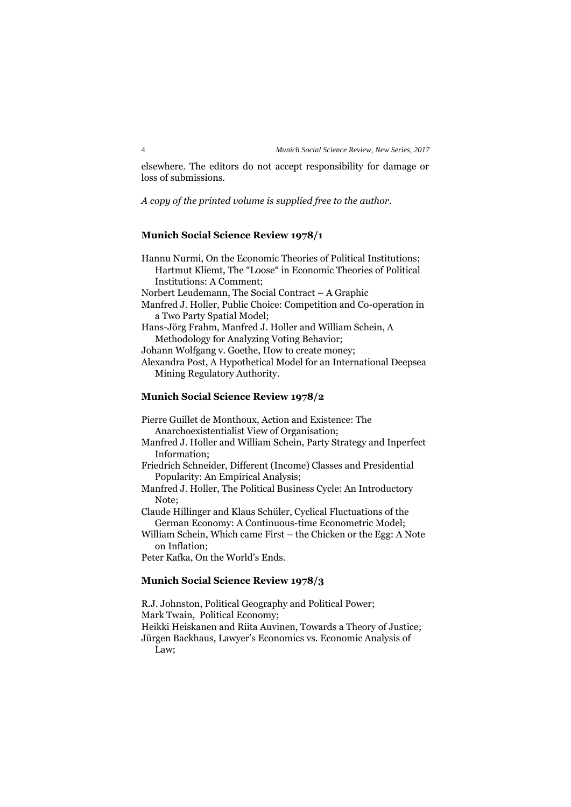elsewhere. The editors do not accept responsibility for damage or loss of submissions.

#### *A copy of the printed volume is supplied free to the author.*

#### **Munich Social Science Review 1978/1**

Hannu Nurmi, On the Economic Theories of Political Institutions; Hartmut Kliemt, The "Loose" in Economic Theories of Political Institutions: A Comment; Norbert Leudemann, The Social Contract – A Graphic Manfred J. Holler, Public Choice: Competition and Co-operation in a Two Party Spatial Model; Hans-Jörg Frahm, Manfred J. Holler and William Schein, A Methodology for Analyzing Voting Behavior; Johann Wolfgang v. Goethe, How to create money; Alexandra Post, A Hypothetical Model for an International Deepsea Mining Regulatory Authority.

# **Munich Social Science Review 1978/2**

Pierre Guillet de Monthoux, Action and Existence: The Anarchoexistentialist View of Organisation; Manfred J. Holler and William Schein, Party Strategy and Inperfect Information; Friedrich Schneider, Different (Income) Classes and Presidential Popularity: An Empirical Analysis;

Manfred J. Holler, The Political Business Cycle: An Introductory Note;

Claude Hillinger and Klaus Schüler, Cyclical Fluctuations of the German Economy: A Continuous-time Econometric Model;

William Schein, Which came First – the Chicken or the Egg: A Note on Inflation;

Peter Kafka, On the World's Ends.

#### **Munich Social Science Review 1978/3**

R.J. Johnston, Political Geography and Political Power; Mark Twain, Political Economy; Heikki Heiskanen and Riita Auvinen, Towards a Theory of Justice; Jürgen Backhaus, Lawyer's Economics vs. Economic Analysis of Law;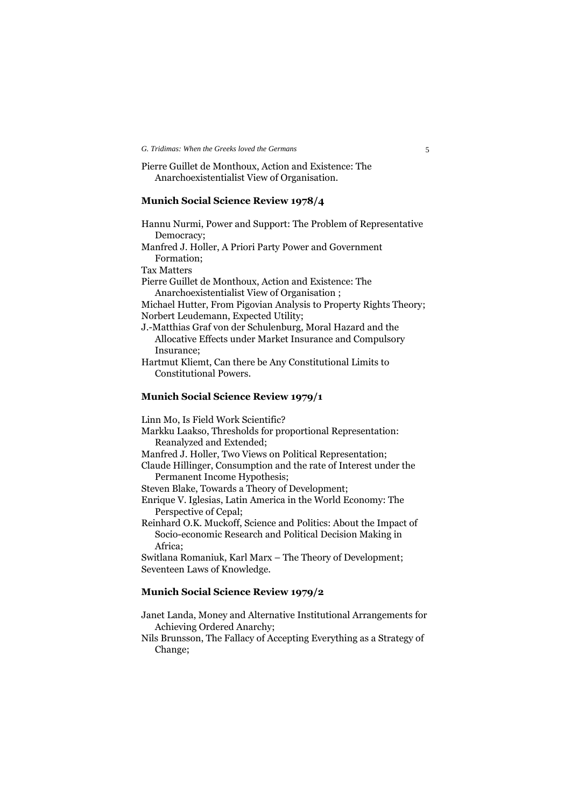Pierre Guillet de Monthoux, Action and Existence: The Anarchoexistentialist View of Organisation.

#### **Munich Social Science Review 1978/4**

Hannu Nurmi, Power and Support: The Problem of Representative Democracy;

Manfred J. Holler, A Priori Party Power and Government Formation;

Tax Matters

Pierre Guillet de Monthoux, Action and Existence: The Anarchoexistentialist View of Organisation ;

Michael Hutter, From Pigovian Analysis to Property Rights Theory; Norbert Leudemann, Expected Utility;

J.-Matthias Graf von der Schulenburg, Moral Hazard and the Allocative Effects under Market Insurance and Compulsory Insurance;

Hartmut Kliemt, Can there be Any Constitutional Limits to Constitutional Powers.

#### **Munich Social Science Review 1979/1**

Linn Mo, Is Field Work Scientific?

- Markku Laakso, Thresholds for proportional Representation: Reanalyzed and Extended;
- Manfred J. Holler, Two Views on Political Representation;
- Claude Hillinger, Consumption and the rate of Interest under the Permanent Income Hypothesis;

Steven Blake, Towards a Theory of Development;

Enrique V. Iglesias, Latin America in the World Economy: The Perspective of Cepal;

Reinhard O.K. Muckoff, Science and Politics: About the Impact of Socio-economic Research and Political Decision Making in Africa;

Switlana Romaniuk, Karl Marx – The Theory of Development; Seventeen Laws of Knowledge.

#### **Munich Social Science Review 1979/2**

Janet Landa, Money and Alternative Institutional Arrangements for Achieving Ordered Anarchy;

Nils Brunsson, The Fallacy of Accepting Everything as a Strategy of Change;